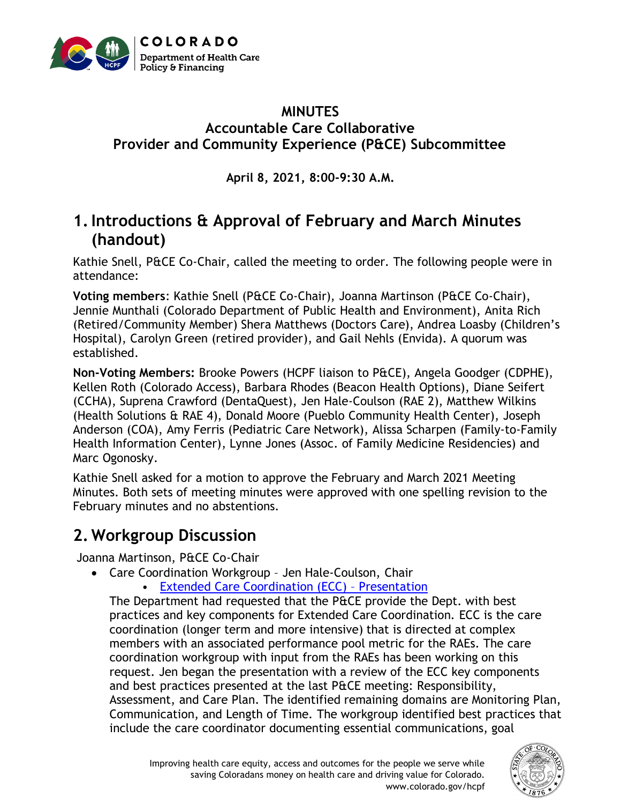

### **MINUTES Accountable Care Collaborative Provider and Community Experience (P&CE) Subcommittee**

**April 8, 2021, 8:00-9:30 A.M.**

# **1.Introductions & Approval of February and March Minutes (handout)**

Kathie Snell, P&CE Co-Chair, called the meeting to order. The following people were in attendance:

**Voting members**: Kathie Snell (P&CE Co-Chair), Joanna Martinson (P&CE Co-Chair), Jennie Munthali (Colorado Department of Public Health and Environment), Anita Rich (Retired/Community Member) Shera Matthews (Doctors Care), Andrea Loasby (Children's Hospital), Carolyn Green (retired provider), and Gail Nehls (Envida). A quorum was established.

**Non-Voting Members:** Brooke Powers (HCPF liaison to P&CE), Angela Goodger (CDPHE), Kellen Roth (Colorado Access), Barbara Rhodes (Beacon Health Options), Diane Seifert (CCHA), Suprena Crawford (DentaQuest), Jen Hale-Coulson (RAE 2), Matthew Wilkins (Health Solutions & RAE 4), Donald Moore (Pueblo Community Health Center), Joseph Anderson (COA), Amy Ferris (Pediatric Care Network), Alissa Scharpen (Family-to-Family Health Information Center), Lynne Jones (Assoc. of Family Medicine Residencies) and Marc Ogonosky.

Kathie Snell asked for a motion to approve the February and March 2021 Meeting Minutes. Both sets of meeting minutes were approved with one spelling revision to the February minutes and no abstentions.

# **2. Workgroup Discussion**

Joanna Martinson, P&CE Co-Chair

- Care Coordination Workgroup Jen Hale-Coulson, Chair
	- [Extended Care Coordination \(ECC\)](https://hcpf.colorado.gov/sites/hcpf/files/Provider%20and%20Community%20Experience%20PIAC%20Subcommittee%20Care%20Coordination%20Workgroup%20PowerPoint%20April%202021.xlsx.pdf)  Presentation

The Department had requested that the P&CE provide the Dept. with best practices and key components for Extended Care Coordination. ECC is the care coordination (longer term and more intensive) that is directed at complex members with an associated performance pool metric for the RAEs. The care coordination workgroup with input from the RAEs has been working on this request. Jen began the presentation with a review of the ECC key components and best practices presented at the last P&CE meeting: Responsibility, Assessment, and Care Plan. The identified remaining domains are Monitoring Plan, Communication, and Length of Time. The workgroup identified best practices that include the care coordinator documenting essential communications, goal

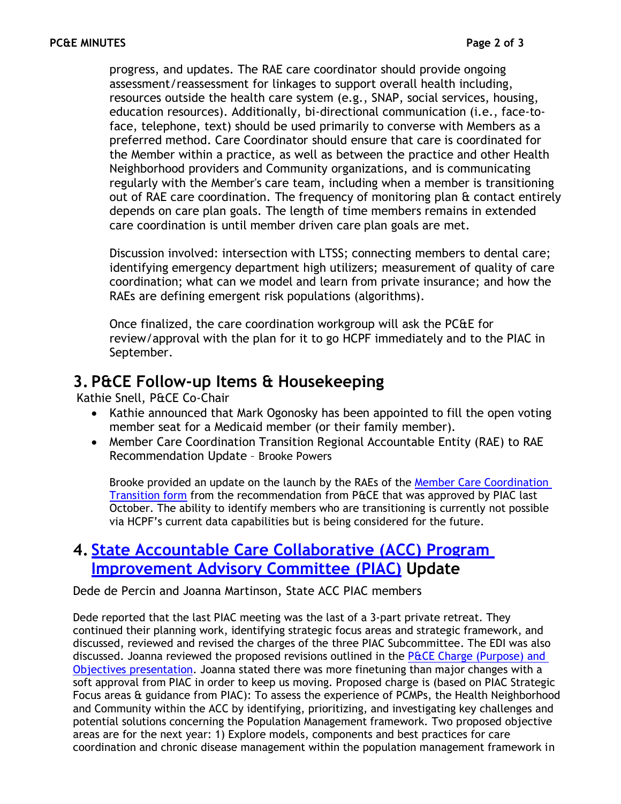progress, and updates. The RAE care coordinator should provide ongoing assessment/reassessment for linkages to support overall health including, resources outside the health care system (e.g., SNAP, social services, housing, education resources). Additionally, bi-directional communication (i.e., face-toface, telephone, text) should be used primarily to converse with Members as a preferred method. Care Coordinator should ensure that care is coordinated for the Member within a practice, as well as between the practice and other Health Neighborhood providers and Community organizations, and is communicating regularly with the Member's care team, including when a member is transitioning out of RAE care coordination. The frequency of monitoring plan & contact entirely depends on care plan goals. The length of time members remains in extended care coordination is until member driven care plan goals are met.

Discussion involved: intersection with LTSS; connecting members to dental care; identifying emergency department high utilizers; measurement of quality of care coordination; what can we model and learn from private insurance; and how the RAEs are defining emergent risk populations (algorithms).

Once finalized, the care coordination workgroup will ask the PC&E for review/approval with the plan for it to go HCPF immediately and to the PIAC in September.

## **3. P&CE Follow-up Items & Housekeeping**

Kathie Snell, P&CE Co-Chair

- Kathie announced that Mark Ogonosky has been appointed to fill the open voting member seat for a Medicaid member (or their family member).
- Member Care Coordination Transition Regional Accountable Entity (RAE) to RAE Recommendation Update – Brooke Powers

Brooke provided an update on the launch by the RAEs of the [Member Care Coordination](https://hcpf.colorado.gov/sites/hcpf/files/Provider%20and%20Community%20Experience%20PIAC%20Subcommittee%20Member%20Transition%20of%20Care%20Coordination%20%28RAE%20to%20RAE%29%20Form%20April%202021.pdf)  [Transition form](https://hcpf.colorado.gov/sites/hcpf/files/Provider%20and%20Community%20Experience%20PIAC%20Subcommittee%20Member%20Transition%20of%20Care%20Coordination%20%28RAE%20to%20RAE%29%20Form%20April%202021.pdf) from the recommendation from P&CE that was approved by PIAC last October. The ability to identify members who are transitioning is currently not possible via HCPF's current data capabilities but is being considered for the future.

## **4. [State Accountable Care Collaborative \(ACC\) Program](https://www.colorado.gov/pacific/hcpf/accountable-care-collaborative-program-improvement-advisory-committee)  [Improvement Advisory Committee](https://www.colorado.gov/pacific/hcpf/accountable-care-collaborative-program-improvement-advisory-committee) (PIAC) Update**

Dede de Percin and Joanna Martinson, State ACC PIAC members

Dede reported that the last PIAC meeting was the last of a 3-part private retreat. They continued their planning work, identifying strategic focus areas and strategic framework, and discussed, reviewed and revised the charges of the three PIAC Subcommittee. The EDI was also discussed. Joanna reviewed the proposed revisions outlined in the P $\angle$ CE Charge (Purpose) and Objectives [presentation.](https://hcpf.colorado.gov/sites/hcpf/files/Provider%20and%20Community%20Experience%20PIAC%20Subcommittee%20PowerPoint%20April%202021.xlsx.pdf) Joanna stated there was more finetuning than major changes with a soft approval from PIAC in order to keep us moving. Proposed charge is (based on PIAC Strategic Focus areas & guidance from PIAC): To assess the experience of PCMPs, the Health Neighborhood and Community within the ACC by identifying, prioritizing, and investigating key challenges and potential solutions concerning the Population Management framework. Two proposed objective areas are for the next year: 1) Explore models, components and best practices for care coordination and chronic disease management within the population management framework in